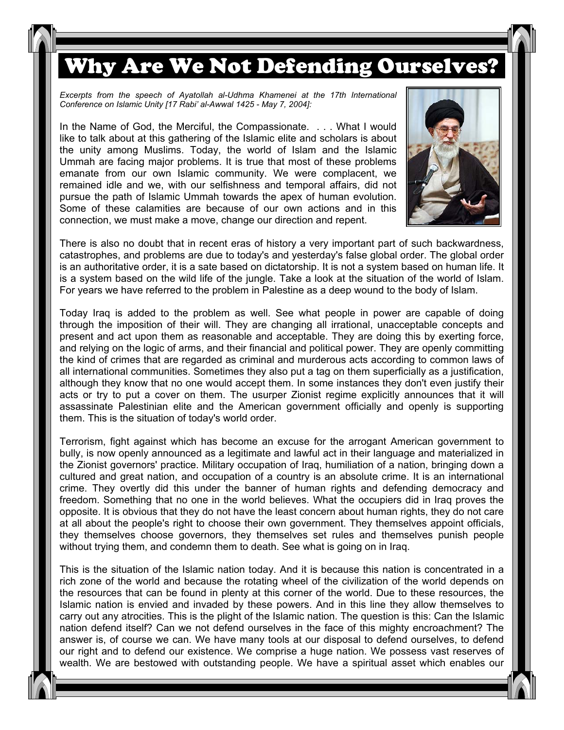## Why Are We Not Defending Ourselves?

Excerpts from the speech of Ayatollah al-Udhma Khamenei at the 17th International *Conference on Islamic Unity [17 Rabi' al-Awwal 1425 - May 7, 2004]:* 

In the Name of God, the Merciful, the Compassionate. . . . What I would like to talk about at this gathering of the Islamic elite and scholars is about the unity among Muslims. Today, the world of Islam and the Islamic Ummah are facing major problems. It is true that most of these problems emanate from our own Islamic community. We were complacent, we remained idle and we, with our selfishness and temporal affairs, did not pursue the path of Islamic Ummah towards the apex of human evolution. Some of these calamities are because of our own actions and in this connection, we must make a move, change our direction and repent.



There is also no doubt that in recent eras of history a very important part of such backwardness, catastrophes, and problems are due to today's and yesterday's false global order. The global order is an authoritative order, it is a sate based on dictatorship. It is not a system based on human life. It is a system based on the wild life of the jungle. Take a look at the situation of the world of Islam. For years we have referred to the problem in Palestine as a deep wound to the body of Islam.

Today Iraq is added to the problem as well. See what people in power are capable of doing through the imposition of their will. They are changing all irrational, unacceptable concepts and present and act upon them as reasonable and acceptable. They are doing this by exerting force, and relying on the logic of arms, and their financial and political power. They are openly committing the kind of crimes that are regarded as criminal and murderous acts according to common laws of all international communities. Sometimes they also put a tag on them superficially as a justification, although they know that no one would accept them. In some instances they don't even justify their acts or try to put a cover on them. The usurper Zionist regime explicitly announces that it will assassinate Palestinian elite and the American government officially and openly is supporting them. This is the situation of today's world order.

Terrorism, fight against which has become an excuse for the arrogant American government to bully, is now openly announced as a legitimate and lawful act in their language and materialized in the Zionist governors' practice. Military occupation of Iraq, humiliation of a nation, bringing down a cultured and great nation, and occupation of a country is an absolute crime. It is an international crime. They overtly did this under the banner of human rights and defending democracy and freedom. Something that no one in the world believes. What the occupiers did in Iraq proves the opposite. It is obvious that they do not have the least concern about human rights, they do not care at all about the people's right to choose their own government. They themselves appoint officials, they themselves choose governors, they themselves set rules and themselves punish people without trying them, and condemn them to death. See what is going on in Iraq.

This is the situation of the Islamic nation today. And it is because this nation is concentrated in a rich zone of the world and because the rotating wheel of the civilization of the world depends on the resources that can be found in plenty at this corner of the world. Due to these resources, the Islamic nation is envied and invaded by these powers. And in this line they allow themselves to carry out any atrocities. This is the plight of the Islamic nation. The question is this: Can the Islamic nation defend itself? Can we not defend ourselves in the face of this mighty encroachment? The answer is, of course we can. We have many tools at our disposal to defend ourselves, to defend our right and to defend our existence. We comprise a huge nation. We possess vast reserves of wealth. We are bestowed with outstanding people. We have a spiritual asset which enables our